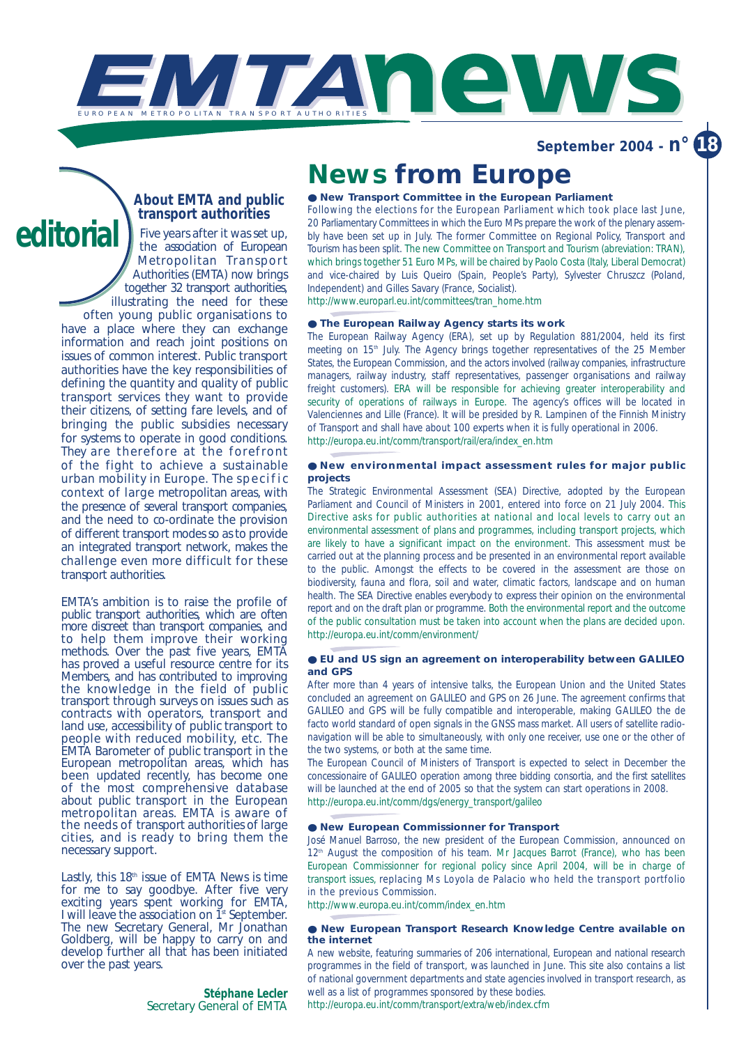

**September 2004 - n° 18**

### *About EMTA and public transport authorities*

*Five years after it was set up, the association of European Metropolitan Transport Authorities (EMTA) now brings together 32 transport authorities, illustrating the need for these often young public organisations to have a place where they can exchange information and reach joint positions on issues of common interest. Public transport authorities have the key responsibilities of defining the quantity and quality of public transport services they want to provide their citizens, of setting fare levels, and of bringing the public subsidies necessary for systems to operate in good conditions. They are therefore at the forefront of the fight to achieve a sustainable urban mobility in Europe. The specific context of large metropolitan areas, with the presence of several transport companies, and the need to co-ordinate the provision of different transport modes so as to provide an integrated transport network, makes the challenge even more difficult for these transport authorities.* **editorial**

> *EMTA's ambition is to raise the profile of public transport authorities, which are often more discreet than transport companies, and to help them improve their working methods. Over the past five years, EMTA has proved a useful resource centre for its Members, and has contributed to improving the knowledge in the field of public transport through surveys on issues such as contracts with operators, transport and land use, accessibility of public transport to people with reduced mobility, etc. The EMTA Barometer of public transport in the European metropolitan areas, which has been updated recently, has become one of the most comprehensive database about public transport in the European metropolitan areas. EMTA is aware of the needs of transport authorities of large cities, and is ready to bring them the necessary support.*

> *Lastly, this 18th issue of EMTA News is time for me to say goodbye. After five very exciting years spent working for EMTA, I will leave the association on 1st September. The new Secretary General, Mr Jonathan Goldberg, will be happy to carry on and develop further all that has been initiated over the past years.*

> > *Stéphane Lecler Secretary General of EMTA*

## **News from Europe**

#### ● **New Transport Committee in the European Parliament**

Following the elections for the European Parliament which took place last June, 20 Parliamentary Committees in which the Euro MPs prepare the work of the plenary assembly have been set up in July. The former Committee on Regional Policy, Transport and Tourism has been split. The new Committee on Transport and Tourism (abreviation: TRAN), which brings together 51 Euro MPs, will be chaired by Paolo Costa (Italy, Liberal Democrat) and vice-chaired by Luis Queiro (Spain, People's Party), Sylvester Chruszcz (Poland, Independent) and Gilles Savary (France, Socialist). http://www.europarl.eu.int/committees/tran\_home.htm

#### ● **The European Railway Agency starts its work**

The European Railway Agency (ERA), set up by Regulation 881/2004, held its first meeting on 15<sup>th</sup> July. The Agency brings together representatives of the 25 Member States, the European Commission, and the actors involved (railway companies, infrastructure managers, railway industry, staff representatives, passenger organisations and railway freight customers). ERA will be responsible for achieving greater interoperability and security of operations of railways in Europe. The agency's offices will be located in Valenciennes and Lille (France). It will be presided by R. Lampinen of the Finnish Ministry of Transport and shall have about 100 experts when it is fully operational in 2006. http://europa.eu.int/comm/transport/rail/era/index\_en.htm

#### ● **New environmental impact assessment rules for major public projects**

The Strategic Environmental Assessment (SEA) Directive, adopted by the European Parliament and Council of Ministers in 2001, entered into force on 21 July 2004. This Directive asks for public authorities at national and local levels to carry out an environmental assessment of plans and programmes, including transport projects, which are likely to have a significant impact on the environment. This assessment must be carried out at the planning process and be presented in an environmental report available to the public. Amongst the effects to be covered in the assessment are those on biodiversity, fauna and flora, soil and water, climatic factors, landscape and on human health. The SEA Directive enables everybody to express their opinion on the environmental report and on the draft plan or programme. Both the environmental report and the outcome of the public consultation must be taken into account when the plans are decided upon. http://europa.eu.int/comm/environment/

#### ● **EU and US sign an agreement on interoperability between GALILEO and GPS**

After more than 4 years of intensive talks, the European Union and the United States concluded an agreement on GALILEO and GPS on 26 June. The agreement confirms that GALILEO and GPS will be fully compatible and interoperable, making GALILEO the de facto world standard of open signals in the GNSS mass market. All users of satellite radionavigation will be able to simultaneously, with only one receiver, use one or the other of the two systems, or both at the same time.

The European Council of Ministers of Transport is expected to select in December the concessionaire of GALILEO operation among three bidding consortia, and the first satellites will be launched at the end of 2005 so that the system can start operations in 2008. http://europa.eu.int/comm/dgs/energy\_transport/galileo

#### ● **New European Commissionner for Transport**

José Manuel Barroso, the new president of the European Commission, announced on 12<sup>th</sup> August the composition of his team. Mr Jacques Barrot (France), who has been European Commissionner for regional policy since April 2004, will be in charge of transport issues, replacing Ms Loyola de Palacio who held the transport portfolio in the previous Commission.

http://www.europa.eu.int/comm/index\_en.htm

#### ● **New European Transport Research Knowledge Centre available on the internet**

A new website, featuring summaries of 206 international, European and national research programmes in the field of transport, was launched in June. This site also contains a list of national government departments and state agencies involved in transport research, as well as a list of programmes sponsored by these bodies.

http://europa.eu.int/comm/transport/extra/web/index.cfm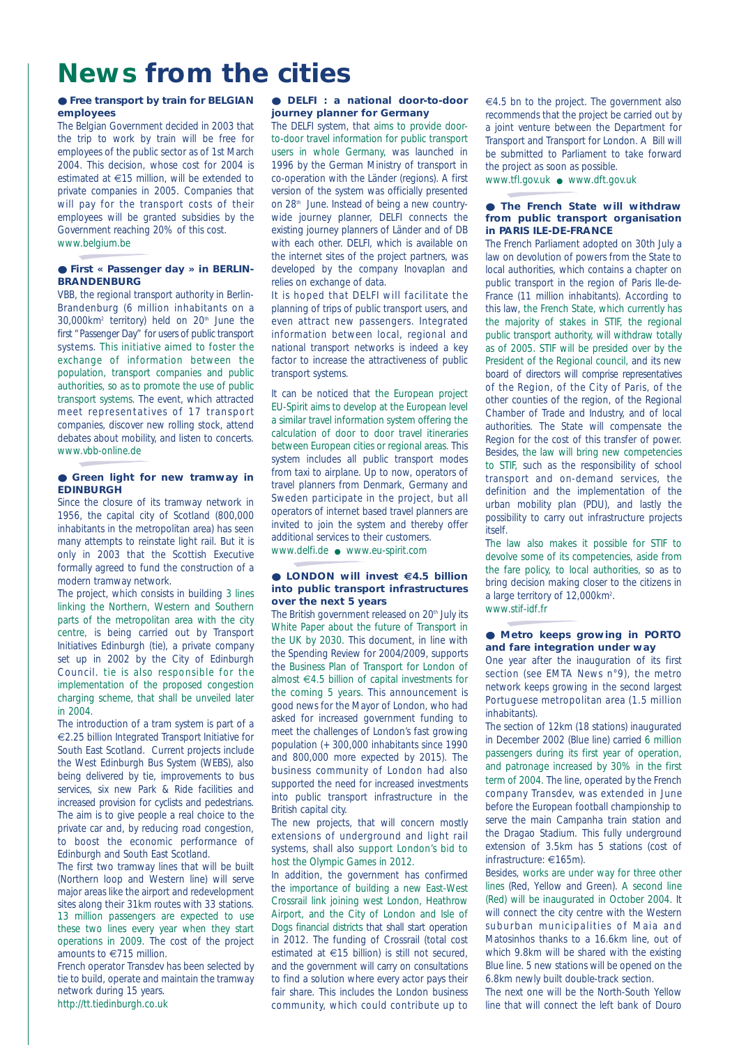# **News from the cities**

#### ● **Free transport by train for BELGIAN employees**

The Belgian Government decided in 2003 that the trip to work by train will be free for employees of the public sector as of 1st March 2004. This decision, whose cost for 2004 is estimated at €15 million, will be extended to private companies in 2005. Companies that will pay for the transport costs of their employees will be granted subsidies by the Government reaching 20% of this cost. www.belgium.be

### ● **First « Passenger day » in BERLIN-**

### **BRANDENBURG** VBB, the regional transport authority in Berlin-

Brandenburg (6 million inhabitants on a 30,000km<sup>2</sup> territory) held on 20<sup>th</sup> June the first "Passenger Day" for users of public transport systems. This initiative aimed to foster the exchange of information between the population, transport companies and public authorities, so as to promote the use of public transport systems. The event, which attracted meet representatives of 17 transport companies, discover new rolling stock, attend debates about mobility, and listen to concerts. www.vbb-online.de

#### ● Green light for new tramway in **EDINBURGH**

Since the closure of its tramway network in 1956, the capital city of Scotland (800,000 inhabitants in the metropolitan area) has seen many attempts to reinstate light rail. But it is only in 2003 that the Scottish Executive formally agreed to fund the construction of a modern tramway network.

The project, which consists in building 3 lines linking the Northern, Western and Southern parts of the metropolitan area with the city centre, is being carried out by Transport Initiatives Edinburgh (*tie*), a private company set up in 2002 by the City of Edinburgh Council. *tie* is also responsible for the implementation of the proposed congestion charging scheme, that shall be unveiled later  $in$  2004

The introduction of a tram system is part of a €2.25 billion Integrated Transport Initiative for South East Scotland. Current projects include the West Edinburgh Bus System (WEBS), also being delivered by *tie*, improvements to bus services, six new Park & Ride facilities and increased provision for cyclists and pedestrians. The aim is to give people a real choice to the private car and, by reducing road congestion, to boost the economic performance of Edinburgh and South East Scotland.

The first two tramway lines that will be built (Northern loop and Western line) will serve major areas like the airport and redevelopment sites along their 31km routes with 33 stations. 13 million passengers are expected to use these two lines every year when they start operations in 2009. The cost of the project amounts to €715 million.

French operator Transdev has been selected by *tie* to build, operate and maintain the tramway network during 15 years.

#### http://tt.tiedinburgh.co.uk

#### ● **DELFI : a national door-to-door journey planner for Germany**

The DELFI system, that aims to provide doorto-door travel information for public transport users in whole Germany, was launched in 1996 by the German Ministry of transport in co-operation with the Länder (regions). A first version of the system was officially presented on 28<sup>th</sup> June. Instead of being a new countrywide journey planner. DELFI connects the existing journey planners of Länder and of DB with each other. DELFI, which is available on the internet sites of the project partners, was developed by the company Inovaplan and relies on exchange of data.

It is hoped that DELFI will facilitate the planning of trips of public transport users, and even attract new passengers. Integrated information between local, regional and national transport networks is indeed a key factor to increase the attractiveness of public transport systems.

It can be noticed that the European project EU-Spirit aims to develop at the European level a similar travel information system offering the calculation of door to door travel itineraries between European cities or regional areas. This system includes all public transport modes from taxi to airplane. Up to now, operators of travel planners from Denmark, Germany and Sweden participate in the project, but all operators of internet based travel planners are invited to join the system and thereby offer additional services to their customers.

www.delfi.de ● www.eu-spirit.com

#### ● **LONDON will invest €4.5 billion into public transport infrastructures over the next 5 years**

The British government released on 20<sup>th</sup> July its White Paper about the future of Transport in the UK by 2030. This document, in line with the Spending Review for 2004/2009, supports the Business Plan of Transport for London of almost €4.5 billion of capital investments for the coming 5 years. This announcement is good news for the Mayor of London, who had asked for increased government funding to meet the challenges of London's fast growing population (+ 300,000 inhabitants since 1990 and 800,000 more expected by 2015). The business community of London had also supported the need for increased investments into public transport infrastructure in the British capital city.

The new projects, that will concern mostly extensions of underground and light rail systems, shall also support London's bid to host the Olympic Games in 2012.

In addition, the government has confirmed the importance of building a new East-West Crossrail link joining west London, Heathrow Airport, and the City of London and Isle of Dogs financial districts that shall start operation in 2012. The funding of Crossrail (total cost estimated at €15 billion) is still not secured, and the government will carry on consultations to find a solution where every actor pays their fair share. This includes the London business community, which could contribute up to €4.5 bn to the project. The government also recommends that the project be carried out by a joint venture between the Department for Transport and Transport for London. A Bill will be submitted to Parliament to take forward the project as soon as possible.

www.tfl.gov.uk ● www.dft.gov.uk

#### ● **The French State will withdraw from public transport organisation in PARIS ILE-DE-FRANCE**

The French Parliament adopted on 30th July a law on devolution of powers from the State to local authorities, which contains a chapter on public transport in the region of Paris Ile-de-France (11 million inhabitants). According to this law, the French State, which currently has the majority of stakes in STIF, the regional public transport authority, will withdraw totally as of 2005. STIF will be presided over by the President of the Regional council, and its new board of directors will comprise representatives of the Region, of the City of Paris, of the other counties of the region, of the Regional Chamber of Trade and Industry, and of local authorities. The State will compensate the Region for the cost of this transfer of power. Besides, the law will bring new competencies to STIF, such as the responsibility of school transport and on-demand services, the definition and the implementation of the urban mobility plan (PDU), and lastly the possibility to carry out infrastructure projects itself.

The law also makes it possible for STIF to devolve some of its competencies, aside from the fare policy, to local authorities, so as to bring decision making closer to the citizens in a large territory of 12,000km<sup>2</sup>. www.stif-idf.fr

● **Metro keeps growing in PORTO and fare integration under way**

One year after the inauguration of its first section (see *EMTA News n°9*), the metro network keeps growing in the second largest Portuguese metropolitan area (1.5 million inhabitants).

The section of 12km (18 stations) inaugurated in December 2002 (Blue line) carried 6 million passengers during its first year of operation, and patronage increased by 30% in the first term of 2004. The line, operated by the French company Transdev, was extended in June before the European football championship to serve the main Campanha train station and the Dragao Stadium. This fully underground extension of 3.5km has 5 stations (cost of infrastructure: €165m).

Besides, works are under way for three other lines (Red, Yellow and Green). A second line (Red) will be inaugurated in October 2004. It will connect the city centre with the Western suburban municipalities of Maia and Matosinhos thanks to a 16.6km line, out of which 9.8km will be shared with the existing Blue line. 5 new stations will be opened on the 6.8km newly built double-track section.

The next one will be the North-South Yellow line that will connect the left bank of Douro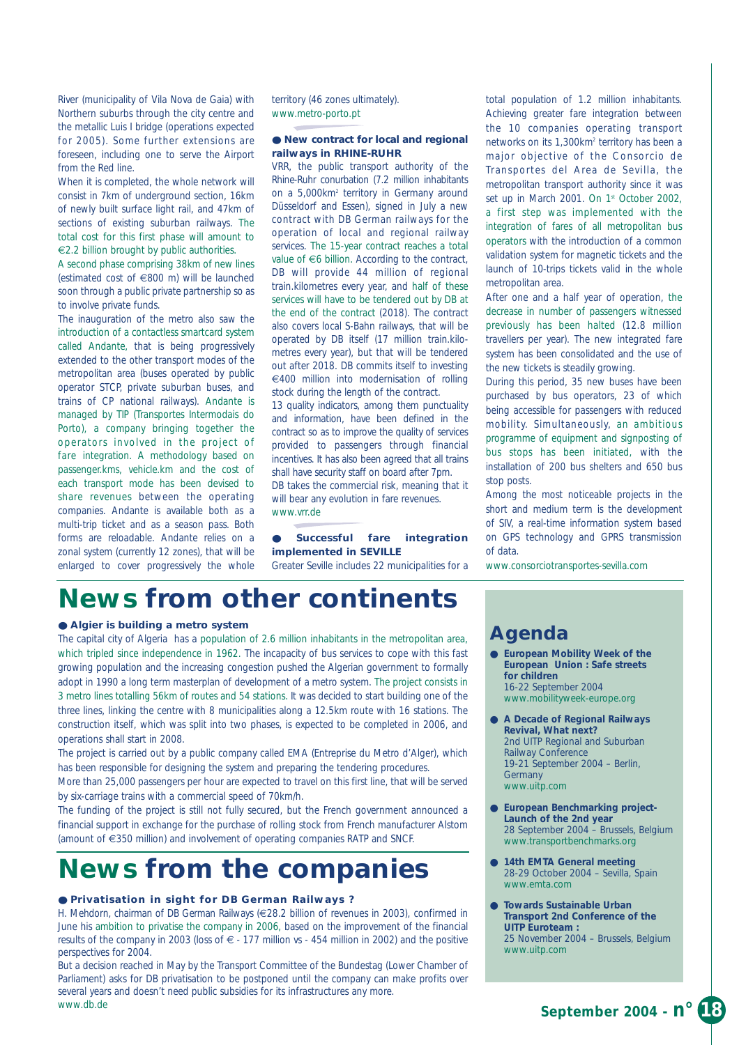River (municipality of Vila Nova de Gaia) with Northern suburbs through the city centre and the metallic Luis I bridge (operations expected for 2005). Some further extensions are foreseen, including one to serve the Airport from the Red line.

When it is completed, the whole network will consist in 7km of underground section, 16km of newly built surface light rail, and 47km of sections of existing suburban railways. The total cost for this first phase will amount to €2.2 billion brought by public authorities.

A second phase comprising 38km of new lines (estimated cost of €800 m) will be launched soon through a public private partnership so as to involve private funds.

The inauguration of the metro also saw the introduction of a contactless smartcard system called *Andante*, that is being progressively extended to the other transport modes of the metropolitan area (buses operated by public operator STCP, private suburban buses, and trains of CP national railways). *Andante* is managed by TIP (Transportes Intermodais do Porto), a company bringing together the operators involved in the project of fare integration. A methodology based on passenger.kms, vehicle.km and the cost of each transport mode has been devised to share revenues between the operating companies. *Andante* is available both as a multi-trip ticket and as a season pass. Both forms are reloadable. *Andante* relies on a zonal system (currently 12 zones), that will be enlarged to cover progressively the whole territory (46 zones ultimately). www.metro-porto.pt

#### ● **New contract for local and regional railways in RHINE-RUHR**

VRR, the public transport authority of the Rhine-Ruhr conurbation (7.2 million inhabitants on a 5,000km2 territory in Germany around Düsseldorf and Essen), signed in July a new contract with DB German railways for the operation of local and regional railway services. The 15-year contract reaches a total value of €6 billion. According to the contract, DB will provide 44 million of regional train.kilometres every year, and half of these services will have to be tendered out by DB at the end of the contract (2018). The contract also covers local S-Bahn railways, that will be operated by DB itself (17 million train.kilometres every year), but that will be tendered out after 2018. DB commits itself to investing €400 million into modernisation of rolling stock during the length of the contract.

13 quality indicators, among them punctuality and information, have been defined in the contract so as to improve the quality of services provided to passengers through financial incentives. It has also been agreed that all trains shall have security staff on board after 7pm.

DB takes the commercial risk, meaning that it will bear any evolution in fare revenues. www.vrr.de

#### ● **Successful fare integration implemented in SEVILLE**

Greater Seville includes 22 municipalities for a

total population of 1.2 million inhabitants. Achieving greater fare integration between the 10 companies operating transport networks on its 1,300km2 territory has been a major objective of the Consorcio de Transportes del Area de Sevilla, the metropolitan transport authority since it was set up in March 2001. On 1<sup>st</sup> October 2002, a first step was implemented with the integration of fares of all metropolitan bus operators with the introduction of a common validation system for magnetic tickets and the launch of 10-trips tickets valid in the whole metropolitan area.

After one and a half year of operation, the decrease in number of passengers witnessed previously has been halted (12.8 million travellers per year). The new integrated fare system has been consolidated and the use of the new tickets is steadily growing.

During this period, 35 new buses have been purchased by bus operators, 23 of which being accessible for passengers with reduced mobility. Simultaneously, an ambitious programme of equipment and signposting of bus stops has been initiated, with the installation of 200 bus shelters and 650 bus stop posts.

Among the most noticeable projects in the short and medium term is the development of SIV, a real-time information system based on GPS technology and GPRS transmission of data.

www.consorciotransportes-sevilla.com

## **News from other continents**

#### ● **Algier is building a metro system**

The capital city of Algeria has a population of 2.6 million inhabitants in the metropolitan area, which tripled since independence in 1962. The incapacity of bus services to cope with this fast growing population and the increasing congestion pushed the Algerian government to formally adopt in 1990 a long term masterplan of development of a metro system. The project consists in 3 metro lines totalling 56km of routes and 54 stations. It was decided to start building one of the three lines, linking the centre with 8 municipalities along a 12.5km route with 16 stations. The construction itself, which was split into two phases, is expected to be completed in 2006, and operations shall start in 2008.

The project is carried out by a public company called EMA (Entreprise du Metro d'Alger), which has been responsible for designing the system and preparing the tendering procedures.

More than 25,000 passengers per hour are expected to travel on this first line, that will be served by six-carriage trains with a commercial speed of 70km/h.

The funding of the project is still not fully secured, but the French government announced a financial support in exchange for the purchase of rolling stock from French manufacturer Alstom (amount of €350 million) and involvement of operating companies RATP and SNCF.

# **News from the companies**

#### ● **Privatisation in sight for DB German Railways ?**

H. Mehdorn, chairman of DB German Railways (€28.2 billion of revenues in 2003), confirmed in June his ambition to privatise the company in 2006, based on the improvement of the financial results of the company in 2003 (loss of € - 177 million vs - 454 million in 2002) and the positive perspectives for 2004.

But a decision reached in May by the Transport Committee of the Bundestag (Lower Chamber of Parliament) asks for DB privatisation to be postponed until the company can make profits over several years and doesn't need public subsidies for its infrastructures any more. www.db.de

### **Agenda**

- **European Mobility Week of the European Union : Safe streets for children** 16-22 September 2004 www.mobilityweek-europe.org
- **A Decade of Regional Railways Revival, What next?**  2nd UITP Regional and Suburban Railway Conference 19-21 September 2004 – Berlin, **Germany** www.uitp.com
- **European Benchmarking project-Launch of the 2nd year**  28 September 2004 – Brussels, Belgium www.transportbenchmarks.org
- **14th EMTA General meeting** 28-29 October 2004 – Sevilla, Spain www.emta.com
- **Towards Sustainable Urban Transport 2nd Conference of the UITP Euroteam :**  25 November 2004 – Brussels, Belgium www.uitp.com